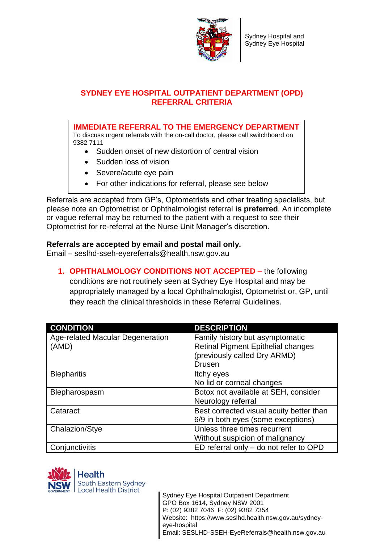

## **SYDNEY EYE HOSPITAL OUTPATIENT DEPARTMENT (OPD) REFERRAL CRITERIA**

**IMMEDIATE REFERRAL TO THE EMERGENCY DEPARTMENT** To discuss urgent referrals with the on-call doctor, please call switchboard on 9382 7111

- Sudden onset of new distortion of central vision
- Sudden loss of vision
- Severe/acute eye pain
- For other indications for referral, please see below

Referrals are accepted from GP's, Optometrists and other treating specialists, but please note an Optometrist or Ophthalmologist referral **is preferred**. An incomplete or vague referral may be returned to the patient with a request to see their Optometrist for re-referral at the Nurse Unit Manager's discretion.

## **Referrals are accepted by email and postal mail only.**

Email – [seslhd-sseh-eyereferrals@health.nsw.gov.au](mailto:seslhd-sseh-eyereferrals@health.nsw.gov.au)

**1. OPHTHALMOLOGY CONDITIONS NOT ACCEPTED** – the following

conditions are not routinely seen at Sydney Eye Hospital and may be appropriately managed by a local Ophthalmologist, Optometrist or, GP, until they reach the clinical thresholds in these Referral Guidelines.

| <b>CONDITION</b>                        | <b>DESCRIPTION</b>                        |
|-----------------------------------------|-------------------------------------------|
| <b>Age-related Macular Degeneration</b> | Family history but asymptomatic           |
| (AMD)                                   | <b>Retinal Pigment Epithelial changes</b> |
|                                         | (previously called Dry ARMD)              |
|                                         | <b>Drusen</b>                             |
| <b>Blepharitis</b>                      | Itchy eyes                                |
|                                         | No lid or corneal changes                 |
| Blepharospasm                           | Botox not available at SEH, consider      |
|                                         | Neurology referral                        |
| Cataract                                | Best corrected visual acuity better than  |
|                                         | 6/9 in both eyes (some exceptions)        |
| Chalazion/Stye                          | Unless three times recurrent              |
|                                         | Without suspicion of malignancy           |
| Conjunctivitis                          | ED referral only - do not refer to OPD    |

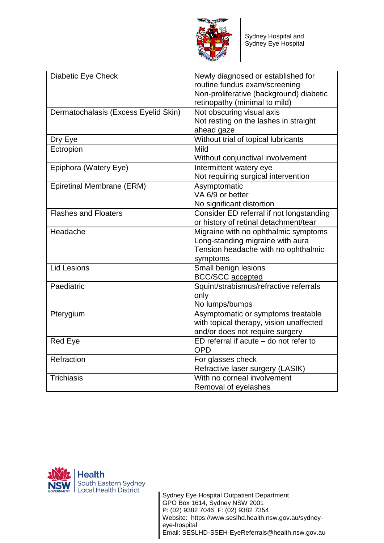

| Diabetic Eye Check                   | Newly diagnosed or established for<br>routine fundus exam/screening<br>Non-proliferative (background) diabetic |
|--------------------------------------|----------------------------------------------------------------------------------------------------------------|
|                                      | retinopathy (minimal to mild)                                                                                  |
| Dermatochalasis (Excess Eyelid Skin) | Not obscuring visual axis                                                                                      |
|                                      | Not resting on the lashes in straight                                                                          |
|                                      | ahead gaze                                                                                                     |
| Dry Eye                              | Without trial of topical lubricants                                                                            |
| Ectropion                            | Mild                                                                                                           |
|                                      | Without conjunctival involvement                                                                               |
| Epiphora (Watery Eye)                | Intermittent watery eye                                                                                        |
|                                      | Not requiring surgical intervention                                                                            |
| <b>Epiretinal Membrane (ERM)</b>     | Asymptomatic                                                                                                   |
|                                      | VA 6/9 or better                                                                                               |
|                                      | No significant distortion                                                                                      |
| <b>Flashes and Floaters</b>          | Consider ED referral if not longstanding                                                                       |
|                                      | or history of retinal detachment/tear                                                                          |
| Headache                             | Migraine with no ophthalmic symptoms                                                                           |
|                                      | Long-standing migraine with aura                                                                               |
|                                      | Tension headache with no ophthalmic                                                                            |
|                                      | symptoms                                                                                                       |
| <b>Lid Lesions</b>                   | Small benign lesions                                                                                           |
|                                      | <b>BCC/SCC</b> accepted                                                                                        |
| Paediatric                           | Squint/strabismus/refractive referrals                                                                         |
|                                      | only                                                                                                           |
|                                      | No lumps/bumps                                                                                                 |
| Pterygium                            | Asymptomatic or symptoms treatable                                                                             |
|                                      | with topical therapy, vision unaffected                                                                        |
|                                      | and/or does not require surgery                                                                                |
| <b>Red Eye</b>                       | $ED$ referral if acute $-$ do not refer to                                                                     |
|                                      | <b>OPD</b>                                                                                                     |
| Refraction                           | For glasses check                                                                                              |
|                                      | Refractive laser surgery (LASIK)                                                                               |
| Trichiasis                           | With no corneal involvement                                                                                    |
|                                      | Removal of eyelashes                                                                                           |

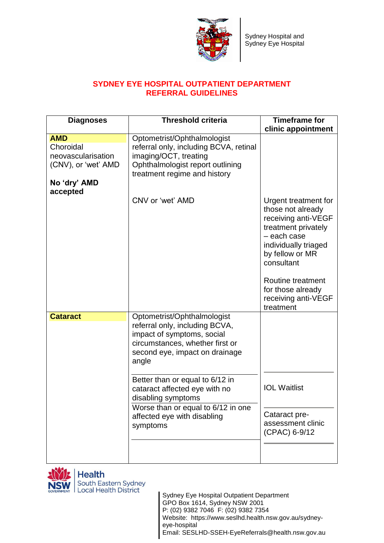

## **SYDNEY EYE HOSPITAL OUTPATIENT DEPARTMENT REFERRAL GUIDELINES**

| <b>Diagnoses</b>                                                                                 | <b>Threshold criteria</b>                                                                                                                                                                                                                                                                                                                            | <b>Timeframe for</b>                                                                                                                                                                                                                          |
|--------------------------------------------------------------------------------------------------|------------------------------------------------------------------------------------------------------------------------------------------------------------------------------------------------------------------------------------------------------------------------------------------------------------------------------------------------------|-----------------------------------------------------------------------------------------------------------------------------------------------------------------------------------------------------------------------------------------------|
|                                                                                                  |                                                                                                                                                                                                                                                                                                                                                      | clinic appointment                                                                                                                                                                                                                            |
| <b>AMD</b><br>Choroidal<br>neovascularisation<br>(CNV), or 'wet' AMD<br>No 'dry' AMD<br>accepted | Optometrist/Ophthalmologist<br>referral only, including BCVA, retinal<br>imaging/OCT, treating<br>Ophthalmologist report outlining<br>treatment regime and history                                                                                                                                                                                   |                                                                                                                                                                                                                                               |
|                                                                                                  | CNV or 'wet' AMD                                                                                                                                                                                                                                                                                                                                     | Urgent treatment for<br>those not already<br>receiving anti-VEGF<br>treatment privately<br>- each case<br>individually triaged<br>by fellow or MR<br>consultant<br>Routine treatment<br>for those already<br>receiving anti-VEGF<br>treatment |
| <b>Cataract</b>                                                                                  | Optometrist/Ophthalmologist<br>referral only, including BCVA,<br>impact of symptoms, social<br>circumstances, whether first or<br>second eye, impact on drainage<br>angle<br>Better than or equal to 6/12 in<br>cataract affected eye with no<br>disabling symptoms<br>Worse than or equal to 6/12 in one<br>affected eye with disabling<br>symptoms | <b>IOL Waitlist</b><br>Cataract pre-<br>assessment clinic<br>(CPAC) 6-9/12                                                                                                                                                                    |
|                                                                                                  |                                                                                                                                                                                                                                                                                                                                                      |                                                                                                                                                                                                                                               |

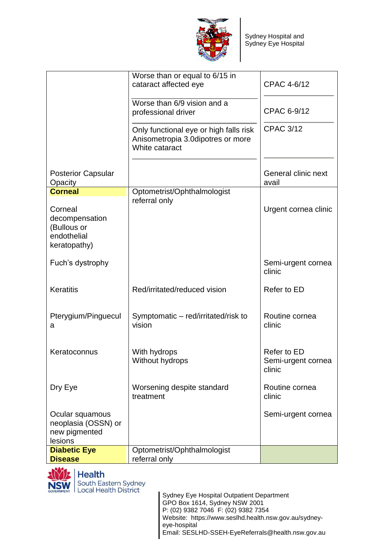

|                                                                         | Worse than or equal to 6/15 in<br>cataract affected eye                                       | <b>CPAC 4-6/12</b>                          |
|-------------------------------------------------------------------------|-----------------------------------------------------------------------------------------------|---------------------------------------------|
|                                                                         | Worse than 6/9 vision and a<br>professional driver                                            | CPAC 6-9/12                                 |
|                                                                         | Only functional eye or high falls risk<br>Anisometropia 3.0dipotres or more<br>White cataract | <b>CPAC 3/12</b>                            |
| <b>Posterior Capsular</b><br>Opacity                                    |                                                                                               | General clinic next<br>avail                |
| <b>Corneal</b>                                                          | Optometrist/Ophthalmologist                                                                   |                                             |
| Corneal<br>decompensation<br>(Bullous or<br>endothelial<br>keratopathy) | referral only                                                                                 | Urgent cornea clinic                        |
| Fuch's dystrophy                                                        |                                                                                               | Semi-urgent cornea<br>clinic                |
| <b>Keratitis</b>                                                        | Red/irritated/reduced vision                                                                  | <b>Refer to ED</b>                          |
| Pterygium/Pinguecul<br>a                                                | Symptomatic - red/irritated/risk to<br>vision                                                 | Routine cornea<br>clinic                    |
| Keratoconnus                                                            | With hydrops<br>Without hydrops                                                               | Refer to ED<br>Semi-urgent cornea<br>clinic |
| Dry Eye                                                                 | Worsening despite standard<br>treatment                                                       | Routine cornea<br>clinic                    |
| Ocular squamous<br>neoplasia (OSSN) or<br>new pigmented<br>lesions      |                                                                                               | Semi-urgent cornea                          |
| <b>Diabetic Eye</b><br><b>Disease</b>                                   | Optometrist/Ophthalmologist<br>referral only                                                  |                                             |



**Health** South Eastern Sydney<br>Local Health District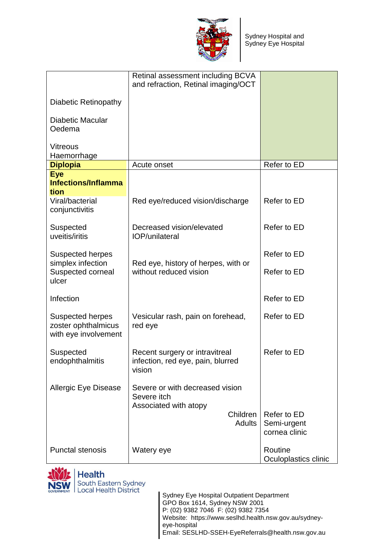

|                                                                 | Retinal assessment including BCVA<br>and refraction, Retinal imaging/OCT      |                                             |
|-----------------------------------------------------------------|-------------------------------------------------------------------------------|---------------------------------------------|
|                                                                 |                                                                               |                                             |
| Diabetic Retinopathy                                            |                                                                               |                                             |
| <b>Diabetic Macular</b><br>Oedema                               |                                                                               |                                             |
| <b>Vitreous</b>                                                 |                                                                               |                                             |
| Haemorrhage<br><b>Diplopia</b>                                  | Acute onset                                                                   | Refer to ED                                 |
| <b>Eye</b>                                                      |                                                                               |                                             |
| <b>Infections/Inflamma</b>                                      |                                                                               |                                             |
| tion<br>Viral/bacterial<br>conjunctivitis                       | Red eye/reduced vision/discharge                                              | Refer to ED                                 |
| Suspected<br>uveitis/iritis                                     | Decreased vision/elevated<br>IOP/unilateral                                   | Refer to ED                                 |
| <b>Suspected herpes</b>                                         |                                                                               | Refer to ED                                 |
| simplex infection<br>Suspected corneal<br>ulcer                 | Red eye, history of herpes, with or<br>without reduced vision                 | Refer to ED                                 |
| Infection                                                       |                                                                               | Refer to ED                                 |
| Suspected herpes<br>zoster ophthalmicus<br>with eye involvement | Vesicular rash, pain on forehead,<br>red eye                                  | Refer to ED                                 |
| Suspected<br>endophthalmitis                                    | Recent surgery or intravitreal<br>infection, red eye, pain, blurred<br>vision | Refer to ED                                 |
| <b>Allergic Eye Disease</b>                                     | Severe or with decreased vision<br>Severe itch<br>Associated with atopy       |                                             |
|                                                                 | Children<br><b>Adults</b>                                                     | Refer to ED<br>Semi-urgent<br>cornea clinic |
| <b>Punctal stenosis</b>                                         | Watery eye                                                                    | Routine<br>Oculoplastics clinic             |

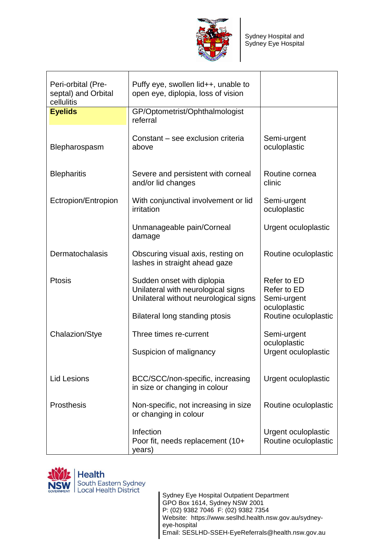

| Peri-orbital (Pre-<br>septal) and Orbital<br>cellulitis | Puffy eye, swollen lid++, unable to<br>open eye, diplopia, loss of vision                                 |                                                           |
|---------------------------------------------------------|-----------------------------------------------------------------------------------------------------------|-----------------------------------------------------------|
| <b>Eyelids</b>                                          | GP/Optometrist/Ophthalmologist<br>referral                                                                |                                                           |
| Blepharospasm                                           | Constant - see exclusion criteria<br>above                                                                | Semi-urgent<br>oculoplastic                               |
| <b>Blepharitis</b>                                      | Severe and persistent with corneal<br>and/or lid changes                                                  | Routine cornea<br>clinic                                  |
| Ectropion/Entropion                                     | With conjunctival involvement or lid<br>irritation                                                        | Semi-urgent<br>oculoplastic                               |
|                                                         | Unmanageable pain/Corneal<br>damage                                                                       | <b>Urgent oculoplastic</b>                                |
| Dermatochalasis                                         | Obscuring visual axis, resting on<br>lashes in straight ahead gaze                                        | Routine oculoplastic                                      |
| <b>Ptosis</b>                                           | Sudden onset with diplopia<br>Unilateral with neurological signs<br>Unilateral without neurological signs | Refer to ED<br>Refer to ED<br>Semi-urgent<br>oculoplastic |
|                                                         | Bilateral long standing ptosis                                                                            | Routine oculoplastic                                      |
| <b>Chalazion/Stye</b>                                   | Three times re-current                                                                                    | Semi-urgent                                               |
|                                                         | Suspicion of malignancy                                                                                   | oculoplastic<br>Urgent oculoplastic                       |
| <b>Lid Lesions</b>                                      | BCC/SCC/non-specific, increasing<br>in size or changing in colour                                         | <b>Urgent oculoplastic</b>                                |
| Prosthesis                                              | Non-specific, not increasing in size<br>or changing in colour                                             | Routine oculoplastic                                      |
|                                                         | Infection<br>Poor fit, needs replacement (10+<br>years)                                                   | <b>Urgent oculoplastic</b><br>Routine oculoplastic        |

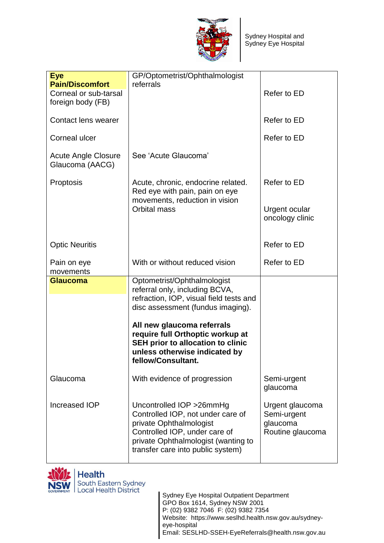

| <b>Eye</b>                                                           | GP/Optometrist/Ophthalmologist                                                                                                                                                                                                                                                                                     |                                                                |
|----------------------------------------------------------------------|--------------------------------------------------------------------------------------------------------------------------------------------------------------------------------------------------------------------------------------------------------------------------------------------------------------------|----------------------------------------------------------------|
| <b>Pain/Discomfort</b><br>Corneal or sub-tarsal<br>foreign body (FB) | referrals                                                                                                                                                                                                                                                                                                          | Refer to ED                                                    |
| Contact lens wearer                                                  |                                                                                                                                                                                                                                                                                                                    | Refer to ED                                                    |
| <b>Corneal ulcer</b>                                                 |                                                                                                                                                                                                                                                                                                                    | Refer to ED                                                    |
| <b>Acute Angle Closure</b><br>Glaucoma (AACG)                        | See 'Acute Glaucoma'                                                                                                                                                                                                                                                                                               |                                                                |
| Proptosis                                                            | Acute, chronic, endocrine related.<br>Red eye with pain, pain on eye<br>movements, reduction in vision                                                                                                                                                                                                             | Refer to ED                                                    |
|                                                                      | Orbital mass                                                                                                                                                                                                                                                                                                       | <b>Urgent ocular</b><br>oncology clinic                        |
| <b>Optic Neuritis</b>                                                |                                                                                                                                                                                                                                                                                                                    | Refer to ED                                                    |
| Pain on eye<br>movements                                             | With or without reduced vision                                                                                                                                                                                                                                                                                     | Refer to ED                                                    |
| <b>Glaucoma</b>                                                      | Optometrist/Ophthalmologist<br>referral only, including BCVA,<br>refraction, IOP, visual field tests and<br>disc assessment (fundus imaging).<br>All new glaucoma referrals<br>require full Orthoptic workup at<br><b>SEH prior to allocation to clinic</b><br>unless otherwise indicated by<br>fellow/Consultant. |                                                                |
| Glaucoma                                                             | With evidence of progression                                                                                                                                                                                                                                                                                       | Semi-urgent<br>glaucoma                                        |
| Increased IOP                                                        | Uncontrolled IOP > 26mmHg<br>Controlled IOP, not under care of<br>private Ophthalmologist<br>Controlled IOP, under care of<br>private Ophthalmologist (wanting to<br>transfer care into public system)                                                                                                             | Urgent glaucoma<br>Semi-urgent<br>glaucoma<br>Routine glaucoma |

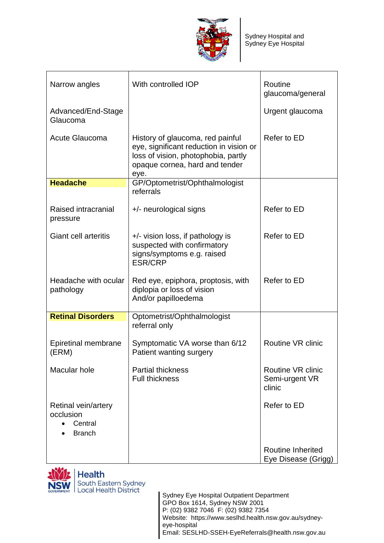

| Narrow angles                                                | With controlled IOP                                                                                                                                          | Routine<br>glaucoma/general                          |
|--------------------------------------------------------------|--------------------------------------------------------------------------------------------------------------------------------------------------------------|------------------------------------------------------|
| Advanced/End-Stage<br>Glaucoma                               |                                                                                                                                                              | Urgent glaucoma                                      |
| <b>Acute Glaucoma</b>                                        | History of glaucoma, red painful<br>eye, significant reduction in vision or<br>loss of vision, photophobia, partly<br>opaque cornea, hard and tender<br>eye. | Refer to ED                                          |
| <b>Headache</b>                                              | GP/Optometrist/Ophthalmologist                                                                                                                               |                                                      |
|                                                              | referrals                                                                                                                                                    |                                                      |
| Raised intracranial<br>pressure                              | +/- neurological signs                                                                                                                                       | Refer to ED                                          |
| <b>Giant cell arteritis</b>                                  | $+/-$ vision loss, if pathology is<br>suspected with confirmatory<br>signs/symptoms e.g. raised<br><b>ESR/CRP</b>                                            | Refer to ED                                          |
| Headache with ocular<br>pathology                            | Red eye, epiphora, proptosis, with<br>diplopia or loss of vision<br>And/or papilloedema                                                                      | Refer to ED                                          |
| <b>Retinal Disorders</b>                                     | Optometrist/Ophthalmologist<br>referral only                                                                                                                 |                                                      |
| Epiretinal membrane<br>(ERM)                                 | Symptomatic VA worse than 6/12<br>Patient wanting surgery                                                                                                    | <b>Routine VR clinic</b>                             |
| Macular hole                                                 | <b>Partial thickness</b><br><b>Full thickness</b>                                                                                                            | <b>Routine VR clinic</b><br>Semi-urgent VR<br>clinic |
| Retinal vein/artery<br>occlusion<br>Central<br><b>Branch</b> |                                                                                                                                                              | Refer to ED                                          |
|                                                              |                                                                                                                                                              | <b>Routine Inherited</b><br>Eye Disease (Grigg)      |

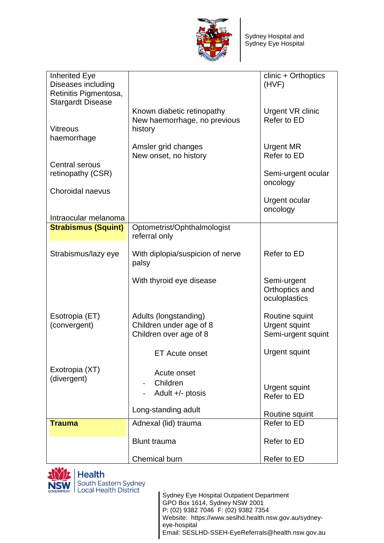

| <b>Inherited Eye</b><br>Diseases including<br>Retinitis Pigmentosa,<br><b>Stargardt Disease</b> |                                                                            | clinic + Orthoptics<br>(HVF)                                 |
|-------------------------------------------------------------------------------------------------|----------------------------------------------------------------------------|--------------------------------------------------------------|
| <b>Vitreous</b><br>haemorrhage                                                                  | Known diabetic retinopathy<br>New haemorrhage, no previous<br>history      | <b>Urgent VR clinic</b><br>Refer to ED                       |
|                                                                                                 | Amsler grid changes<br>New onset, no history                               | <b>Urgent MR</b><br>Refer to ED                              |
| <b>Central serous</b><br>retinopathy (CSR)                                                      |                                                                            | Semi-urgent ocular<br>oncology                               |
| Choroidal naevus                                                                                |                                                                            | <b>Urgent ocular</b><br>oncology                             |
| Intraocular melanoma                                                                            |                                                                            |                                                              |
| <b>Strabismus (Squint)</b>                                                                      | Optometrist/Ophthalmologist                                                |                                                              |
|                                                                                                 | referral only                                                              |                                                              |
| Strabismus/lazy eye                                                                             | With diplopia/suspicion of nerve<br>palsy                                  | Refer to ED                                                  |
|                                                                                                 | With thyroid eye disease                                                   | Semi-urgent<br>Orthoptics and<br>oculoplastics               |
| Esotropia (ET)<br>(convergent)                                                                  | Adults (longstanding)<br>Children under age of 8<br>Children over age of 8 | Routine squint<br><b>Urgent squint</b><br>Semi-urgent squint |
|                                                                                                 | <b>ET Acute onset</b>                                                      | <b>Urgent squint</b>                                         |
| Exotropia (XT)<br>(divergent)                                                                   | Acute onset                                                                |                                                              |
|                                                                                                 | Children<br>Adult $+/-$ ptosis                                             | Urgent squint<br>Refer to ED                                 |
|                                                                                                 | Long-standing adult                                                        | Routine squint                                               |
| <b>Trauma</b>                                                                                   | Adnexal (lid) trauma                                                       | Refer to ED                                                  |
|                                                                                                 | <b>Blunt trauma</b>                                                        | Refer to ED                                                  |
|                                                                                                 | Chemical burn                                                              | Refer to ED                                                  |

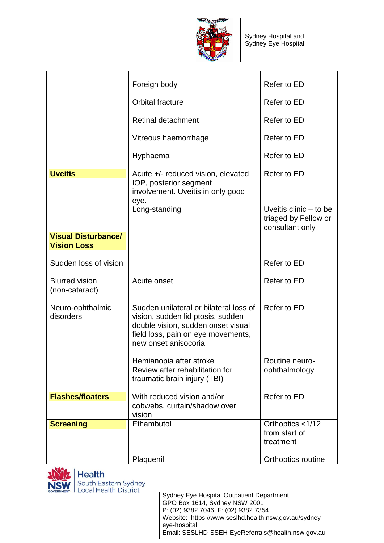

|                                         | Foreign body                                                                                                                                                                    | Refer to ED                             |
|-----------------------------------------|---------------------------------------------------------------------------------------------------------------------------------------------------------------------------------|-----------------------------------------|
|                                         | <b>Orbital fracture</b>                                                                                                                                                         | Refer to ED                             |
|                                         | <b>Retinal detachment</b>                                                                                                                                                       | Refer to ED                             |
|                                         | Vitreous haemorrhage                                                                                                                                                            | Refer to ED                             |
|                                         | Hyphaema                                                                                                                                                                        | Refer to ED                             |
| <b>Uveitis</b>                          | Acute +/- reduced vision, elevated<br>IOP, posterior segment<br>involvement. Uveitis in only good<br>eye.<br>Long-standing                                                      | Refer to ED<br>Uveitis clinic $-$ to be |
|                                         |                                                                                                                                                                                 | triaged by Fellow or<br>consultant only |
| <b>Visual Disturbance/</b>              |                                                                                                                                                                                 |                                         |
| <b>Vision Loss</b>                      |                                                                                                                                                                                 |                                         |
|                                         |                                                                                                                                                                                 |                                         |
| Sudden loss of vision                   |                                                                                                                                                                                 | Refer to ED                             |
| <b>Blurred vision</b><br>(non-cataract) | Acute onset                                                                                                                                                                     | Refer to ED                             |
| Neuro-ophthalmic<br>disorders           | Sudden unilateral or bilateral loss of<br>vision, sudden lid ptosis, sudden<br>double vision, sudden onset visual<br>field loss, pain on eye movements,<br>new onset anisocoria | Refer to ED                             |
|                                         | Hemianopia after stroke<br>Review after rehabilitation for<br>traumatic brain injury (TBI)                                                                                      | Routine neuro-<br>ophthalmology         |
| <b>Flashes/floaters</b>                 | With reduced vision and/or                                                                                                                                                      | Refer to ED                             |
|                                         | cobwebs, curtain/shadow over<br>vision                                                                                                                                          |                                         |
| <b>Screening</b>                        | Ethambutol                                                                                                                                                                      | Orthoptics <1/12                        |
|                                         |                                                                                                                                                                                 | from start of<br>treatment              |
|                                         |                                                                                                                                                                                 |                                         |
|                                         | Plaquenil                                                                                                                                                                       | Orthoptics routine                      |



**Health** South Eastern Sydney<br>Local Health District